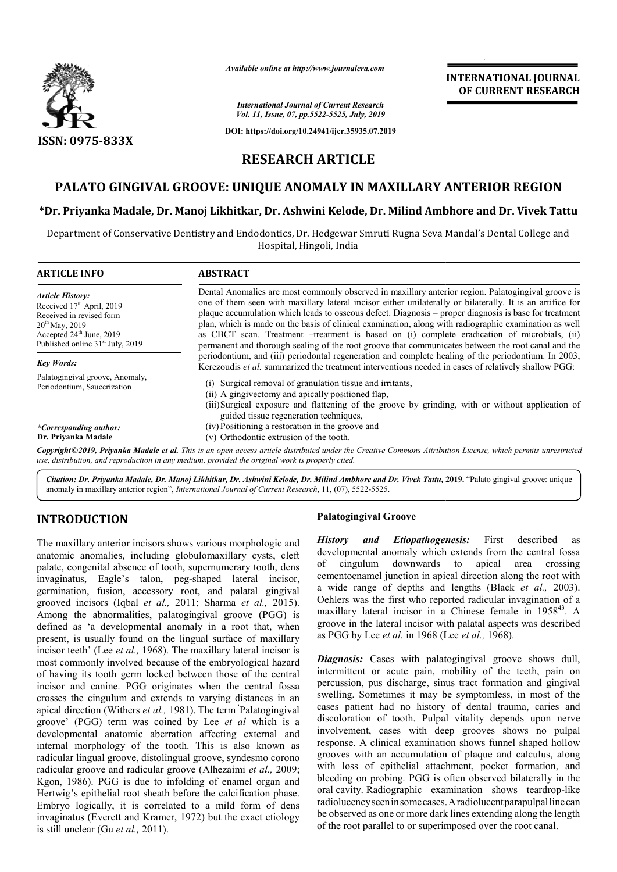

*Available online at http://www.journalcra.com*

## **INTERNATIONAL JOURNAL OF CURRENT RESEARCH**

# **RESEARCH ARTICLE**

# **PALATO GINGIVAL GROOVE: UNIQUE ANOMALY IN MAXILLARY ANTERIOR REGION MAXILLARY**

## **\*Dr. Priyanka Madale, Dr. Manoj Likhitkar, Dr. Ashwini Kelode, Dr. Milind Dr. Ambhore and Dr. Vivek Tattu**

|                                                                                                                                                                                                                                                                                                                                                                                                                                                                                                                                                                                                                                                                                                                                                                                                                             | атишные опине игнир.// www.journuicru.com                                                                                                                                                                                                                                                                                                                                                                                                                                                                                                                                                                                              | <b>INTERNATIONAL JOURNAL</b><br>OF CURRENT RESEARCH                                                                                                                                                                                                                                                                                                                                                                                                                                                                                                                                                                                                                                                                                                                                                                                             |
|-----------------------------------------------------------------------------------------------------------------------------------------------------------------------------------------------------------------------------------------------------------------------------------------------------------------------------------------------------------------------------------------------------------------------------------------------------------------------------------------------------------------------------------------------------------------------------------------------------------------------------------------------------------------------------------------------------------------------------------------------------------------------------------------------------------------------------|----------------------------------------------------------------------------------------------------------------------------------------------------------------------------------------------------------------------------------------------------------------------------------------------------------------------------------------------------------------------------------------------------------------------------------------------------------------------------------------------------------------------------------------------------------------------------------------------------------------------------------------|-------------------------------------------------------------------------------------------------------------------------------------------------------------------------------------------------------------------------------------------------------------------------------------------------------------------------------------------------------------------------------------------------------------------------------------------------------------------------------------------------------------------------------------------------------------------------------------------------------------------------------------------------------------------------------------------------------------------------------------------------------------------------------------------------------------------------------------------------|
|                                                                                                                                                                                                                                                                                                                                                                                                                                                                                                                                                                                                                                                                                                                                                                                                                             |                                                                                                                                                                                                                                                                                                                                                                                                                                                                                                                                                                                                                                        | <b>International Journal of Current Research</b><br>Vol. 11, Issue, 07, pp.5522-5525, July, 2019                                                                                                                                                                                                                                                                                                                                                                                                                                                                                                                                                                                                                                                                                                                                                |
|                                                                                                                                                                                                                                                                                                                                                                                                                                                                                                                                                                                                                                                                                                                                                                                                                             |                                                                                                                                                                                                                                                                                                                                                                                                                                                                                                                                                                                                                                        | DOI: https://doi.org/10.24941/ijcr.35935.07.2019                                                                                                                                                                                                                                                                                                                                                                                                                                                                                                                                                                                                                                                                                                                                                                                                |
| <b>ISSN: 0975-833X</b>                                                                                                                                                                                                                                                                                                                                                                                                                                                                                                                                                                                                                                                                                                                                                                                                      |                                                                                                                                                                                                                                                                                                                                                                                                                                                                                                                                                                                                                                        |                                                                                                                                                                                                                                                                                                                                                                                                                                                                                                                                                                                                                                                                                                                                                                                                                                                 |
|                                                                                                                                                                                                                                                                                                                                                                                                                                                                                                                                                                                                                                                                                                                                                                                                                             | <b>RESEARCH ARTICLE</b>                                                                                                                                                                                                                                                                                                                                                                                                                                                                                                                                                                                                                |                                                                                                                                                                                                                                                                                                                                                                                                                                                                                                                                                                                                                                                                                                                                                                                                                                                 |
|                                                                                                                                                                                                                                                                                                                                                                                                                                                                                                                                                                                                                                                                                                                                                                                                                             |                                                                                                                                                                                                                                                                                                                                                                                                                                                                                                                                                                                                                                        | PALATO GINGIVAL GROOVE: UNIQUE ANOMALY IN MAXILLARY ANTERIOR REGION                                                                                                                                                                                                                                                                                                                                                                                                                                                                                                                                                                                                                                                                                                                                                                             |
|                                                                                                                                                                                                                                                                                                                                                                                                                                                                                                                                                                                                                                                                                                                                                                                                                             |                                                                                                                                                                                                                                                                                                                                                                                                                                                                                                                                                                                                                                        | *Dr. Priyanka Madale, Dr. Manoj Likhitkar, Dr. Ashwini Kelode, Dr. Milind Ambhore and Dr. Vivek Tattu                                                                                                                                                                                                                                                                                                                                                                                                                                                                                                                                                                                                                                                                                                                                           |
|                                                                                                                                                                                                                                                                                                                                                                                                                                                                                                                                                                                                                                                                                                                                                                                                                             |                                                                                                                                                                                                                                                                                                                                                                                                                                                                                                                                                                                                                                        | Department of Conservative Dentistry and Endodontics, Dr. Hedgewar Smruti Rugna Seva Mandal's Dental College and                                                                                                                                                                                                                                                                                                                                                                                                                                                                                                                                                                                                                                                                                                                                |
|                                                                                                                                                                                                                                                                                                                                                                                                                                                                                                                                                                                                                                                                                                                                                                                                                             | Hospital, Hingoli, India                                                                                                                                                                                                                                                                                                                                                                                                                                                                                                                                                                                                               |                                                                                                                                                                                                                                                                                                                                                                                                                                                                                                                                                                                                                                                                                                                                                                                                                                                 |
| <b>ARTICLE INFO</b>                                                                                                                                                                                                                                                                                                                                                                                                                                                                                                                                                                                                                                                                                                                                                                                                         | <b>ABSTRACT</b>                                                                                                                                                                                                                                                                                                                                                                                                                                                                                                                                                                                                                        |                                                                                                                                                                                                                                                                                                                                                                                                                                                                                                                                                                                                                                                                                                                                                                                                                                                 |
| <b>Article History:</b><br>Received 17 <sup>th</sup> April, 2019<br>Received in revised form<br>20 <sup>th</sup> May, 2019<br>Accepted 24 <sup>th</sup> June, 2019<br>Published online 31 <sup>st</sup> July, 2019                                                                                                                                                                                                                                                                                                                                                                                                                                                                                                                                                                                                          | Dental Anomalies are most commonly observed in maxillary anterior region. Palatogingival groove is<br>one of them seen with maxillary lateral incisor either unilaterally or bilaterally. It is an artifice for<br>plaque accumulation which leads to osseous defect. Diagnosis - proper diagnosis is base for treatment<br>plan, which is made on the basis of clinical examination, along with radiographic examination as well<br>as CBCT scan. Treatment -treatment is based on (i) complete eradication of microbials, (ii)<br>permanent and thorough sealing of the root groove that communicates between the root canal and the |                                                                                                                                                                                                                                                                                                                                                                                                                                                                                                                                                                                                                                                                                                                                                                                                                                                 |
| <b>Key Words:</b>                                                                                                                                                                                                                                                                                                                                                                                                                                                                                                                                                                                                                                                                                                                                                                                                           |                                                                                                                                                                                                                                                                                                                                                                                                                                                                                                                                                                                                                                        | periodontium, and (iii) periodontal regeneration and complete healing of the periodontium. In 2003,<br>Kerezoudis et al. summarized the treatment interventions needed in cases of relatively shallow PGG:                                                                                                                                                                                                                                                                                                                                                                                                                                                                                                                                                                                                                                      |
| Palatogingival groove, Anomaly,<br>Periodontium, Saucerization                                                                                                                                                                                                                                                                                                                                                                                                                                                                                                                                                                                                                                                                                                                                                              | (i) Surgical removal of granulation tissue and irritants,<br>(ii) A gingivectomy and apically positioned flap,<br>(iii)Surgical exposure and flattening of the groove by grinding, with or without application of<br>guided tissue regeneration techniques,                                                                                                                                                                                                                                                                                                                                                                            |                                                                                                                                                                                                                                                                                                                                                                                                                                                                                                                                                                                                                                                                                                                                                                                                                                                 |
| *Corresponding author:<br>Dr. Priyanka Madale                                                                                                                                                                                                                                                                                                                                                                                                                                                                                                                                                                                                                                                                                                                                                                               | (iv) Positioning a restoration in the groove and<br>(v) Orthodontic extrusion of the tooth.                                                                                                                                                                                                                                                                                                                                                                                                                                                                                                                                            |                                                                                                                                                                                                                                                                                                                                                                                                                                                                                                                                                                                                                                                                                                                                                                                                                                                 |
|                                                                                                                                                                                                                                                                                                                                                                                                                                                                                                                                                                                                                                                                                                                                                                                                                             | use, distribution, and reproduction in any medium, provided the original work is properly cited.                                                                                                                                                                                                                                                                                                                                                                                                                                                                                                                                       | Copyright©2019, Priyanka Madale et al. This is an open access article distributed under the Creative Commons Attribution License, which permits unrestricted                                                                                                                                                                                                                                                                                                                                                                                                                                                                                                                                                                                                                                                                                    |
|                                                                                                                                                                                                                                                                                                                                                                                                                                                                                                                                                                                                                                                                                                                                                                                                                             | anomaly in maxillary anterior region", International Journal of Current Research, 11, (07), 5522-5525.                                                                                                                                                                                                                                                                                                                                                                                                                                                                                                                                 | Citation: Dr. Priyanka Madale, Dr. Manoj Likhitkar, Dr. Ashwini Kelode, Dr. Milind Ambhore and Dr. Vivek Tattu, 2019. "Palato gingival groove: unique                                                                                                                                                                                                                                                                                                                                                                                                                                                                                                                                                                                                                                                                                           |
| <b>INTRODUCTION</b>                                                                                                                                                                                                                                                                                                                                                                                                                                                                                                                                                                                                                                                                                                                                                                                                         |                                                                                                                                                                                                                                                                                                                                                                                                                                                                                                                                                                                                                                        | <b>Palatogingival Groove</b>                                                                                                                                                                                                                                                                                                                                                                                                                                                                                                                                                                                                                                                                                                                                                                                                                    |
| The maxillary anterior incisors shows various morphologic and<br>anatomic anomalies, including globulomaxillary cysts, cleft<br>palate, congenital absence of tooth, supernumerary tooth, dens<br>invaginatus, Eagle's talon, peg-shaped lateral incisor,<br>germination, fusion, accessory root, and palatal gingival<br>grooved incisors (Iqbal et al., 2011; Sharma et al., 2015).<br>Among the abnormalities, palatogingival groove (PGG) is<br>defined as 'a developmental anomaly in a root that, when<br>present, is usually found on the lingual surface of maxillary<br>incisor teeth' (Lee et al., 1968). The maxillary lateral incisor is<br>most commonly involved because of the embryological hazard<br>of having its tooth germ locked between those of the central                                          |                                                                                                                                                                                                                                                                                                                                                                                                                                                                                                                                                                                                                                        | History and Etiopathogenesis: First described as<br>developmental anomaly which extends from the central fossa<br>cingulum<br>downwards<br>to<br>apical<br>οf<br>area<br>crossing<br>cementoenamel junction in apical direction along the root with<br>a wide range of depths and lengths (Black et al., 2003).<br>Oehlers was the first who reported radicular invagination of a<br>maxillary lateral incisor in a Chinese female in 1958 <sup>43</sup> . A<br>groove in the lateral incisor with palatal aspects was described<br>as PGG by Lee et al. in 1968 (Lee et al., 1968).<br>Diagnosis: Cases with palatogingival groove shows dull,<br>intermittent or acute pain, mobility of the teeth, pain on                                                                                                                                   |
| incisor and canine. PGG originates when the central fossa<br>crosses the cingulum and extends to varying distances in an<br>apical direction (Withers et al., 1981). The term Palatogingival<br>groove' (PGG) term was coined by Lee et al which is a<br>developmental anatomic aberration affecting external and<br>internal morphology of the tooth. This is also known as<br>radicular lingual groove, distolingual groove, syndesmo corono<br>radicular groove and radicular groove (Alhezaimi et al., 2009;<br>Kgon, 1986). PGG is due to infolding of enamel organ and<br>Hertwig's epithelial root sheath before the calcification phase.<br>Embryo logically, it is correlated to a mild form of dens<br>invaginatus (Everett and Kramer, 1972) but the exact etiology<br>is still unclear $(GU \rho t a l - 2011)$ |                                                                                                                                                                                                                                                                                                                                                                                                                                                                                                                                                                                                                                        | percussion, pus discharge, sinus tract formation and gingival<br>swelling. Sometimes it may be symptomless, in most of the<br>cases patient had no history of dental trauma, caries and<br>discoloration of tooth. Pulpal vitality depends upon nerve<br>involvement, cases with deep grooves shows no pulpal<br>response. A clinical examination shows funnel shaped hollow<br>grooves with an accumulation of plaque and calculus, along<br>with loss of epithelial attachment, pocket formation, and<br>bleeding on probing. PGG is often observed bilaterally in the<br>oral cavity. Radiographic examination shows teardrop-like<br>radiolucency seen in some cases. A radiolucent parapulpal line can<br>be observed as one or more dark lines extending along the length<br>of the root parallel to or superimposed over the root canal. |

## **INTRODUCTION**

### **Palatogingival Groove**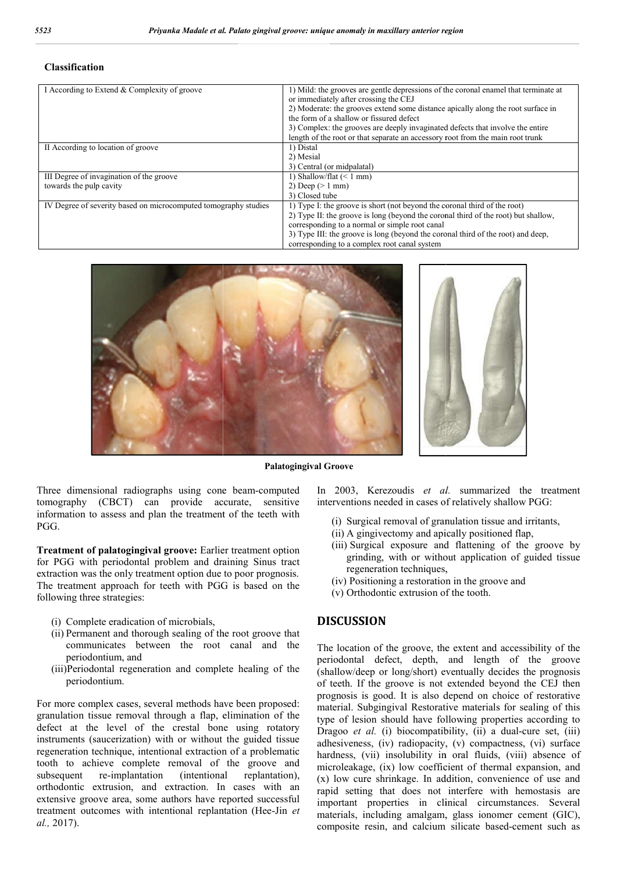#### **Classification**

| 523<br>Priyanka Madale et al. Palato gingival groove: unique anomaly in maxillary anterior region |                                                                                                                                                                                                                                                                                                                                                                                                                                  |  |
|---------------------------------------------------------------------------------------------------|----------------------------------------------------------------------------------------------------------------------------------------------------------------------------------------------------------------------------------------------------------------------------------------------------------------------------------------------------------------------------------------------------------------------------------|--|
| <b>Classification</b>                                                                             |                                                                                                                                                                                                                                                                                                                                                                                                                                  |  |
| I According to Extend & Complexity of groove                                                      | 1) Mild: the grooves are gentle depressions of the coronal enamel that terminate at<br>or immediately after crossing the CEJ<br>2) Moderate: the grooves extend some distance apically along the root surface in<br>the form of a shallow or fissured defect<br>3) Complex: the grooves are deeply invaginated defects that involve the entire<br>length of the root or that separate an accessory root from the main root trunk |  |
| II According to location of groove                                                                | 1) Distal<br>2) Mesial<br>3) Central (or midpalatal)                                                                                                                                                                                                                                                                                                                                                                             |  |
| III Degree of invagination of the groove<br>towards the pulp cavity                               | 1) Shallow/flat $(< 1$ mm)<br>2) Deep $(>1$ mm)<br>3) Closed tube                                                                                                                                                                                                                                                                                                                                                                |  |
| IV Degree of severity based on microcomputed tomography studies                                   | 1) Type I: the groove is short (not beyond the coronal third of the root)<br>2) Type II: the groove is long (beyond the coronal third of the root) but shallow,<br>corresponding to a normal or simple root canal<br>3) Type III: the groove is long (beyond the coronal third of the root) and deep,<br>corresponding to a complex root canal system                                                                            |  |





**Palatogingival Groove**

Three dimensional radiographs using cone beam beam-computed tomography (CBCT) can provide accurate, sensitive information to assess and plan the treatment of the teeth with PGG.

**Treatment of palatogingival groove:** Earlier treatment option for PGG with periodontal problem and draining Sinus tract extraction was the only treatment option due to poor prognosis. The treatment approach for teeth with PGG is based on the following three strategies:

- (i) Complete eradication of microbials,
- (ii) Permanent and thorough sealing of the root groove that communicates between the root canal and the periodontium, and
- (iii)Periodontal regeneration and complete healing of the periodontium.

For more complex cases, several methods have been proposed: granulation tissue removal through a flap, elimination of the defect at the level of the crestal bone using rotatory instruments (saucerization) with or without the guided tissue regeneration technique, intentional extraction of a problematic tooth to achieve complete removal of the groove and subsequent re-implantation (intentional replantation), orthodontic extrusion, and extraction. In cases with an extensive groove area, some authors have reported successful treatment outcomes with intentional replantation (Hee-Jin *et al.,* 2017). experience and divided problem and divided proach for teeth with PG<br>proach for teeth with PG<br>rategies:<br>eradication of microbials,<br>and thorough sealing of tlates<br>between the root<br>um, and<br>all regeneration and complum.<br>x case

In 2003, Kerezoudis et al. summarized the treatment interventions needed in cases of relatively shallow PGG: Free is exposed in cases of relatively shallow PGG:<br>
(i) Surgical removal of granulation tissue and irritants,<br>
(ii) A gingivectomy and apically positioned flap,<br>
(iii) Surgical exposure and flattening of the groove by

- (i) Surgical removal of granulation tissue and irritants,
- (ii) A gingivectomy and apically positioned flap,
- grinding, with or without application of guided tissue regeneration techniques, regeneration
- (iv) Positioning a restoration in the groove and<br>(v) Orthodontic extrusion of the tooth.
- (v) Orthodontic extrusion of the tooth.

### **DISCUSSION**

The location of the groove, the extent and accessibility of the periodontal defect, depth, and length of the groove (shallow/deep or long/short) eventually decides the prognosis of teeth. If the groove is not extended beyond the CEJ then prognosis is good. It is also depend on choice of restorative material. Subgingival Restorative materials for sealing of this type of lesion should have following properties according to Dragoo *et al.* (i) biocompatibility, (ii) a dual-cure set, (iii) adhesiveness, (iv) radiopacity, (v) compactness, (vi) surface hardness, (vii) insolubility in oral fluids, (viii) absence of microleakage, (ix) low coefficient of thermal expansion, and (x) low cure shrinkage. In addition, convenience of use and rapid setting that does not interfere with hemostasis are important properties in clinical circumstances. Several materials, including amalgam, glass ionomer cement (GIC), composite resin, and calcium silicate based-cement such as the defect, depth, and length of the allow/deep or long/short) eventually decides the teeth. If the groove is not extended beyond the (iv) radiopacity, (v) compactness, (vi) surface<br>insolubility in oral fluids, (viii) absence of<br> $(ix)$  low coefficient of thermal expansion, and<br>hrinkage. In addition, convenience of use and<br>that does not interfere with hemo properties in clinical circumstances. Several including amalgam, glass ionomer cement (GIC), resin, and calcium silicate based-cement such as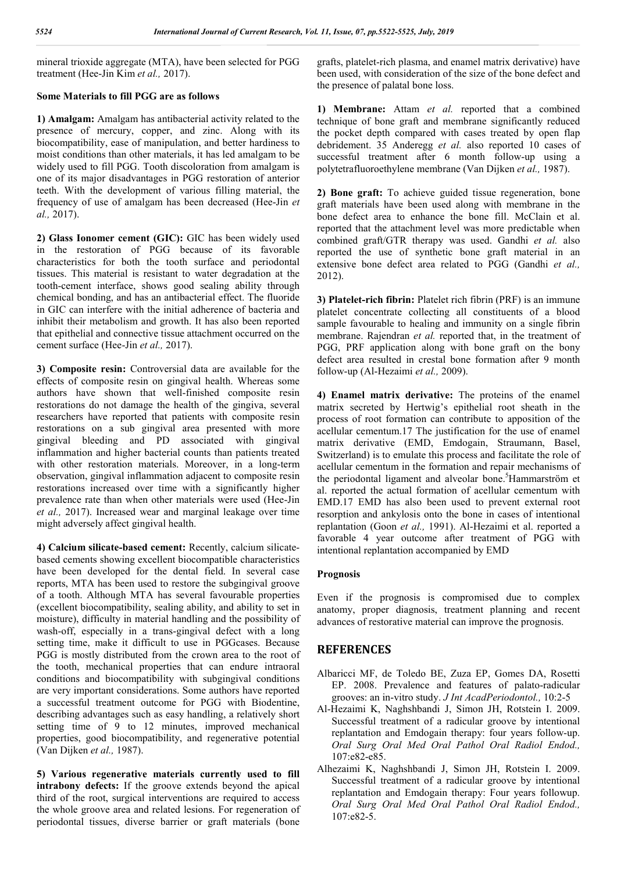mineral trioxide aggregate (MTA), have been selected for PGG treatment (Hee-Jin Kim *et al.,* 2017).

### **Some Materials to fill PGG are as follows**

**1) Amalgam:** Amalgam has antibacterial activity related to the presence of mercury, copper, and zinc. Along with its biocompatibility, ease of manipulation, and better hardiness to moist conditions than other materials, it has led amalgam to be widely used to fill PGG. Tooth discoloration from amalgam is one of its major disadvantages in PGG restoration of anterior teeth. With the development of various filling material, the frequency of use of amalgam has been decreased (Hee-Jin *et al.,* 2017).

**2) Glass Ionomer cement (GIC):** GIC has been widely used in the restoration of PGG because of its favorable characteristics for both the tooth surface and periodontal tissues. This material is resistant to water degradation at the tooth-cement interface, shows good sealing ability through chemical bonding, and has an antibacterial effect. The fluoride in GIC can interfere with the initial adherence of bacteria and inhibit their metabolism and growth. It has also been reported that epithelial and connective tissue attachment occurred on the cement surface (Hee-Jin *et al.,* 2017).

**3) Composite resin:** Controversial data are available for the effects of composite resin on gingival health. Whereas some authors have shown that well-finished composite resin restorations do not damage the health of the gingiva, several researchers have reported that patients with composite resin restorations on a sub gingival area presented with more gingival bleeding and PD associated with gingival inflammation and higher bacterial counts than patients treated with other restoration materials. Moreover, in a long-term observation, gingival inflammation adjacent to composite resin restorations increased over time with a significantly higher prevalence rate than when other materials were used (Hee-Jin *et al.,* 2017). Increased wear and marginal leakage over time might adversely affect gingival health.

**4) Calcium silicate-based cement:** Recently, calcium silicatebased cements showing excellent biocompatible characteristics have been developed for the dental field. In several case reports, MTA has been used to restore the subgingival groove of a tooth. Although MTA has several favourable properties (excellent biocompatibility, sealing ability, and ability to set in moisture), difficulty in material handling and the possibility of wash-off, especially in a trans-gingival defect with a long setting time, make it difficult to use in PGGcases. Because PGG is mostly distributed from the crown area to the root of the tooth, mechanical properties that can endure intraoral conditions and biocompatibility with subgingival conditions are very important considerations. Some authors have reported a successful treatment outcome for PGG with Biodentine, describing advantages such as easy handling, a relatively short setting time of 9 to 12 minutes, improved mechanical properties, good biocompatibility, and regenerative potential (Van Dijken *et al.,* 1987).

**5) Various regenerative materials currently used to fill intrabony defects:** If the groove extends beyond the apical third of the root, surgical interventions are required to access the whole groove area and related lesions. For regeneration of periodontal tissues, diverse barrier or graft materials (bone grafts, platelet-rich plasma, and enamel matrix derivative) have been used, with consideration of the size of the bone defect and the presence of palatal bone loss.

**1) Membrane:** Attam *et al.* reported that a combined technique of bone graft and membrane significantly reduced the pocket depth compared with cases treated by open flap debridement. 35 Anderegg *et al.* also reported 10 cases of successful treatment after 6 month follow-up using a polytetrafluoroethylene membrane (Van Dijken *et al.,* 1987).

**2) Bone graft:** To achieve guided tissue regeneration, bone graft materials have been used along with membrane in the bone defect area to enhance the bone fill. McClain et al. reported that the attachment level was more predictable when combined graft/GTR therapy was used. Gandhi *et al.* also reported the use of synthetic bone graft material in an extensive bone defect area related to PGG (Gandhi *et al.,*  2012).

**3) Platelet-rich fibrin:** Platelet rich fibrin (PRF) is an immune platelet concentrate collecting all constituents of a blood sample favourable to healing and immunity on a single fibrin membrane. Rajendran *et al.* reported that, in the treatment of PGG, PRF application along with bone graft on the bony defect area resulted in crestal bone formation after 9 month follow-up (Al-Hezaimi *et al.,* 2009).

**4) Enamel matrix derivative:** The proteins of the enamel matrix secreted by Hertwig's epithelial root sheath in the process of root formation can contribute to apposition of the acellular cementum.17 The justification for the use of enamel matrix derivative (EMD, Emdogain, Straumann, Basel, Switzerland) is to emulate this process and facilitate the role of acellular cementum in the formation and repair mechanisms of the periodontal ligament and alveolar bone.<sup>5</sup>Hammarström et al. reported the actual formation of acellular cementum with EMD.17 EMD has also been used to prevent external root resorption and ankylosis onto the bone in cases of intentional replantation (Goon *et al.,* 1991). Al-Hezaimi et al. reported a favorable 4 year outcome after treatment of PGG with intentional replantation accompanied by EMD

## **Prognosis**

Even if the prognosis is compromised due to complex anatomy, proper diagnosis, treatment planning and recent advances of restorative material can improve the prognosis.

## **REFERENCES**

- Albaricci MF, de Toledo BE, Zuza EP, Gomes DA, Rosetti EP. 2008. Prevalence and features of palato-radicular grooves: an in-vitro study. *J Int AcadPeriodontol.,* 10:2-5
- Al-Hezaimi K, Naghshbandi J, Simon JH, Rotstein I. 2009. Successful treatment of a radicular groove by intentional replantation and Emdogain therapy: four years follow-up. *Oral Surg Oral Med Oral Pathol Oral Radiol Endod.,* 107:e82-e85.
- Alhezaimi K, Naghshbandi J, Simon JH, Rotstein I. 2009. Successful treatment of a radicular groove by intentional replantation and Emdogain therapy: Four years followup. *Oral Surg Oral Med Oral Pathol Oral Radiol Endod.,*  107:e82-5.